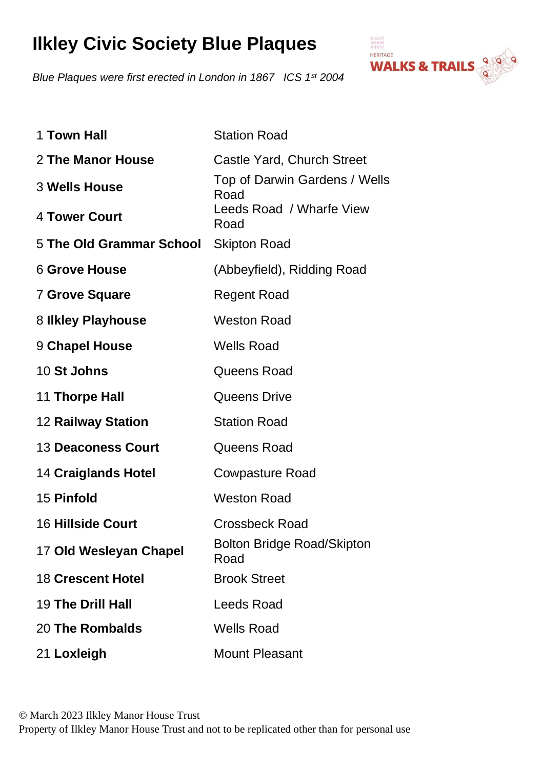## **Ilkley Civic Society Blue Plaques**

*Blue Plaques were first erected in London in 1867 ICS 1st 2004* 



| 1 Town Hall                | <b>Station Road</b>                       |
|----------------------------|-------------------------------------------|
| 2 The Manor House          | Castle Yard, Church Street                |
| <b>3 Wells House</b>       | Top of Darwin Gardens / Wells<br>Road     |
| 4 Tower Court              | Leeds Road / Wharfe View<br>Road          |
| 5 The Old Grammar School   | <b>Skipton Road</b>                       |
| <b>6 Grove House</b>       | (Abbeyfield), Ridding Road                |
| <b>7 Grove Square</b>      | <b>Regent Road</b>                        |
| 8 Ilkley Playhouse         | <b>Weston Road</b>                        |
| 9 Chapel House             | <b>Wells Road</b>                         |
| <b>10 St Johns</b>         | Queens Road                               |
| 11 Thorpe Hall             | <b>Queens Drive</b>                       |
| <b>12 Railway Station</b>  | <b>Station Road</b>                       |
| <b>13 Deaconess Court</b>  | Queens Road                               |
| <b>14 Craiglands Hotel</b> | <b>Cowpasture Road</b>                    |
| 15 Pinfold                 | <b>Weston Road</b>                        |
| <b>16 Hillside Court</b>   | <b>Crossbeck Road</b>                     |
| 17 Old Wesleyan Chapel     | <b>Bolton Bridge Road/Skipton</b><br>Road |
| <b>18 Crescent Hotel</b>   | <b>Brook Street</b>                       |
| <b>19 The Drill Hall</b>   | <b>Leeds Road</b>                         |
| 20 The Rombalds            | <b>Wells Road</b>                         |
| 21 Loxleigh                | <b>Mount Pleasant</b>                     |